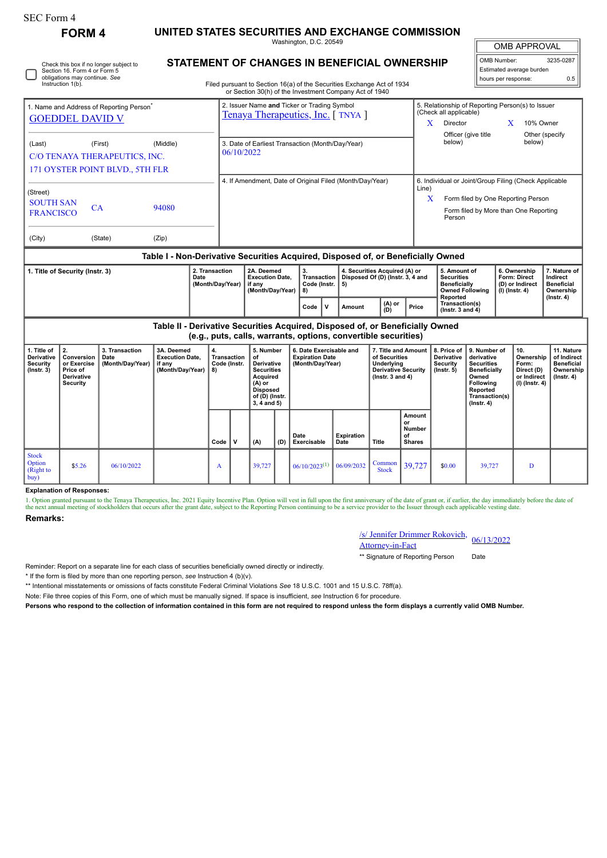| <b>SEC Form 4</b>                                                                                                                                                 |                                                                                    |                                            |                                                                               |                                                |                                                                            |                                                                                                                                           |     |                                                                                                                                  |                           |                                                                                                            |                                                                                                                                                     |                                                                               |                                                                                                                                                       |              |                                                                          |                                                                                 |  |
|-------------------------------------------------------------------------------------------------------------------------------------------------------------------|------------------------------------------------------------------------------------|--------------------------------------------|-------------------------------------------------------------------------------|------------------------------------------------|----------------------------------------------------------------------------|-------------------------------------------------------------------------------------------------------------------------------------------|-----|----------------------------------------------------------------------------------------------------------------------------------|---------------------------|------------------------------------------------------------------------------------------------------------|-----------------------------------------------------------------------------------------------------------------------------------------------------|-------------------------------------------------------------------------------|-------------------------------------------------------------------------------------------------------------------------------------------------------|--------------|--------------------------------------------------------------------------|---------------------------------------------------------------------------------|--|
| <b>FORM 4</b>                                                                                                                                                     |                                                                                    |                                            |                                                                               |                                                | UNITED STATES SECURITIES AND EXCHANGE COMMISSION<br>Washington, D.C. 20549 |                                                                                                                                           |     |                                                                                                                                  |                           |                                                                                                            |                                                                                                                                                     |                                                                               |                                                                                                                                                       | OMB APPROVAL |                                                                          |                                                                                 |  |
|                                                                                                                                                                   | Section 16. Form 4 or Form 5<br>obligations may continue. See<br>Instruction 1(b). | Check this box if no longer subject to     | STATEMENT OF CHANGES IN BENEFICIAL OWNERSHIP                                  |                                                |                                                                            |                                                                                                                                           |     | Filed pursuant to Section 16(a) of the Securities Exchange Act of 1934<br>or Section 30(h) of the Investment Company Act of 1940 |                           |                                                                                                            |                                                                                                                                                     |                                                                               | OMB Number:<br>hours per response:                                                                                                                    |              | Estimated average burden                                                 | 3235-0287<br>0.5                                                                |  |
| 1. Name and Address of Reporting Person<br><b>GOEDDEL DAVID V</b>                                                                                                 |                                                                                    |                                            |                                                                               |                                                |                                                                            |                                                                                                                                           |     | 2. Issuer Name and Ticker or Trading Symbol<br>Tenaya Therapeutics, Inc. [TNYA]                                                  |                           |                                                                                                            | (Check all applicable)<br><b>Director</b><br>X                                                                                                      |                                                                               | 5. Relationship of Reporting Person(s) to Issuer<br>10% Owner<br>X<br>Other (specify                                                                  |              |                                                                          |                                                                                 |  |
| (Middle)<br>(Last)<br>(First)<br>C/O TENAYA THERAPEUTICS, INC.<br>171 OYSTER POINT BLVD., 5TH FLR                                                                 |                                                                                    |                                            |                                                                               |                                                | 06/10/2022                                                                 |                                                                                                                                           |     | 3. Date of Earliest Transaction (Month/Day/Year)                                                                                 |                           |                                                                                                            | Officer (give title<br>below)<br>below)                                                                                                             |                                                                               |                                                                                                                                                       |              |                                                                          |                                                                                 |  |
| (Street)<br><b>SOUTH SAN</b><br>CA<br>94080<br><b>FRANCISCO</b>                                                                                                   |                                                                                    |                                            |                                                                               |                                                |                                                                            |                                                                                                                                           |     | 4. If Amendment, Date of Original Filed (Month/Day/Year)                                                                         |                           | Line)                                                                                                      | 6. Individual or Joint/Group Filing (Check Applicable<br>X<br>Form filed by One Reporting Person<br>Form filed by More than One Reporting<br>Person |                                                                               |                                                                                                                                                       |              |                                                                          |                                                                                 |  |
| (City)<br>(State)<br>(Zip)                                                                                                                                        |                                                                                    |                                            |                                                                               |                                                |                                                                            |                                                                                                                                           |     |                                                                                                                                  |                           |                                                                                                            |                                                                                                                                                     |                                                                               |                                                                                                                                                       |              |                                                                          |                                                                                 |  |
| Table I - Non-Derivative Securities Acquired, Disposed of, or Beneficially Owned<br>1. Title of Security (Instr. 3)<br>2. Transaction<br>Date<br>(Month/Day/Year) |                                                                                    |                                            |                                                                               |                                                | 2A. Deemed<br><b>Execution Date,</b><br>if any                             |                                                                                                                                           |     | 3.<br><b>Transaction</b><br>Code (Instr.                                                                                         | 5)                        | 4. Securities Acquired (A) or<br>Disposed Of (D) (Instr. 3, 4 and                                          |                                                                                                                                                     | 5. Amount of<br><b>Securities</b><br><b>Beneficially</b>                      |                                                                                                                                                       |              | 6. Ownership<br>Form: Direct<br>(D) or Indirect                          | 7. Nature of<br>Indirect<br><b>Beneficial</b>                                   |  |
|                                                                                                                                                                   |                                                                                    |                                            |                                                                               |                                                |                                                                            | (Month/Day/Year)                                                                                                                          |     | 8)<br>v<br>Code                                                                                                                  | <b>Amount</b>             | (A) or<br>Price<br>(D)                                                                                     |                                                                                                                                                     | <b>Owned Following</b><br>Reported<br>Transaction(s)<br>(Instr. $3$ and $4$ ) |                                                                                                                                                       |              | (I) (Instr. 4)                                                           | Ownership<br>$($ Instr. 4 $)$                                                   |  |
|                                                                                                                                                                   |                                                                                    |                                            | Table II - Derivative Securities Acquired, Disposed of, or Beneficially Owned |                                                |                                                                            |                                                                                                                                           |     | (e.g., puts, calls, warrants, options, convertible securities)                                                                   |                           |                                                                                                            |                                                                                                                                                     |                                                                               |                                                                                                                                                       |              |                                                                          |                                                                                 |  |
| 1. Title of<br>Derivative<br><b>Security</b><br>$($ Instr. 3 $)$                                                                                                  | 2.<br>Conversion<br>or Exercise<br>Price of<br>Derivative<br><b>Security</b>       | 3. Transaction<br>Date<br>(Month/Day/Year) | 3A. Deemed<br><b>Execution Date,</b><br>if any<br>(Month/Day/Year)            | 4.<br><b>Transaction</b><br>Code (Instr.<br>8) |                                                                            | 5. Number<br>of<br>Derivative<br><b>Securities</b><br><b>Acquired</b><br>$(A)$ or<br><b>Disposed</b><br>of (D) (Instr.<br>$3, 4$ and $5)$ |     | 6. Date Exercisable and<br><b>Expiration Date</b><br>(Month/Day/Year)                                                            |                           | 7. Title and Amount<br>of Securities<br>Underlying<br><b>Derivative Security</b><br>$($ Instr. 3 and 4 $)$ |                                                                                                                                                     | 8. Price of<br>Derivative<br>Security<br>$($ Instr. 5 $)$                     | 9. Number of<br>derivative<br><b>Securities</b><br><b>Beneficially</b><br>Owned<br><b>Following</b><br>Reported<br>Transaction(s)<br>$($ Instr. 4 $)$ |              | 10.<br>Ownership<br>Form:<br>Direct (D)<br>or Indirect<br>(I) (Instr. 4) | 11. Nature<br>of Indirect<br><b>Beneficial</b><br>Ownership<br>$($ Instr. 4 $)$ |  |
|                                                                                                                                                                   |                                                                                    |                                            |                                                                               | Code                                           | v                                                                          | (A)                                                                                                                                       | (D) | Date<br>Exercisable                                                                                                              | <b>Expiration</b><br>Date | Title                                                                                                      | Amount<br>or<br>Number<br>οf<br><b>Shares</b>                                                                                                       |                                                                               |                                                                                                                                                       |              |                                                                          |                                                                                 |  |
| <b>Stock</b><br>Option<br>(Right to<br>buv)                                                                                                                       | \$5.26                                                                             | 06/10/2022                                 |                                                                               | A                                              |                                                                            | 39,727                                                                                                                                    |     | $06/10/2023^{(1)}$                                                                                                               | 06/09/2032                | Common<br><b>Stock</b>                                                                                     | 39,727                                                                                                                                              | \$0.00                                                                        | 39,727                                                                                                                                                |              | D                                                                        |                                                                                 |  |

## **Explanation of Responses:**

1. Option granted pursuant to the Tenaya Therapeutics, Inc. 2021 Equity Incentive Plan. Option will vest in full upon the first anniversary of the date of grant or, if earlier, the day immediately before the date of the as

## **Remarks:**

| /s/ Jennifer Drimmer Rokovich, 06/13/2022 |  |  |  |  |
|-------------------------------------------|--|--|--|--|
| <b>Attorney-in-Fact</b>                   |  |  |  |  |

\*\* Signature of Reporting Person Date

Reminder: Report on a separate line for each class of securities beneficially owned directly or indirectly.

\* If the form is filed by more than one reporting person, *see* Instruction 4 (b)(v).

\*\* Intentional misstatements or omissions of facts constitute Federal Criminal Violations *See* 18 U.S.C. 1001 and 15 U.S.C. 78ff(a).

Note: File three copies of this Form, one of which must be manually signed. If space is insufficient, *see* Instruction 6 for procedure.

**Persons who respond to the collection of information contained in this form are not required to respond unless the form displays a currently valid OMB Number.**